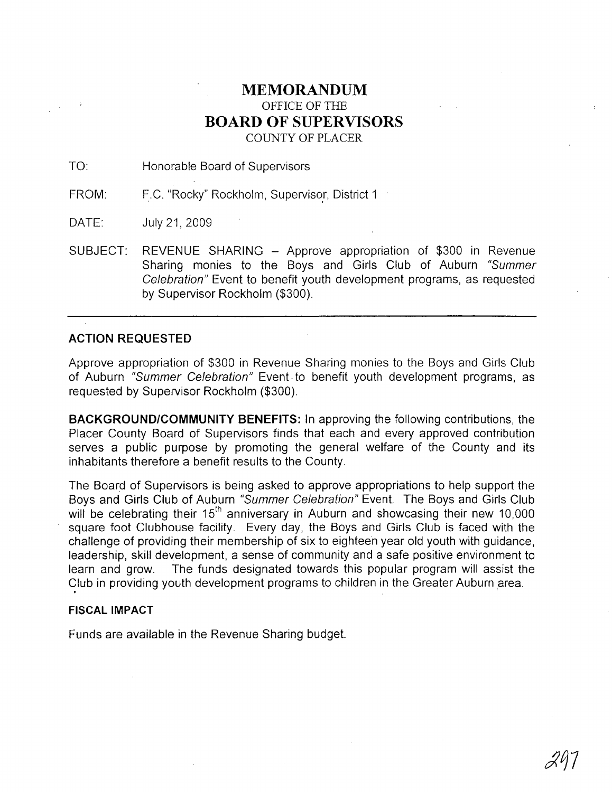# **MEMORANDUM** OFFICE OF THE **BOARD OF SUPERVISORS** COUNTY OF PLACER

TO: Honorable Board of Supervisors

FROM: F.C. "Rocky" Rockholm, Supervisor, District 1

DATE: July 21, 2009

SUBJECT: REVENUE SHARING - Approve appropriation of \$300 in Revenue Sharing monies to the Boys and Girls Club of Auburn "Summer Celebration" Event to benefit youth development programs, as requested by Supervisor Rockholm (\$300).

## **ACTION REQUESTED**

Approve appropriation of \$300 in Revenue Sharing monies to the Boys and Girls Club of Auburn "Summer Celebration" Event· to benefit youth development programs, as requested by Supervisor Rockholm (\$300).

**BACKGROUND/COMMUNITY BENEFITS:** In approving the following contributions, the Placer County Board of Supervisors finds that each and every approved contribution serves a public purpose by promoting the general welfare of the County and its inhabitants therefore a benefit results to the County.

The Board of Supervisors is being asked to approve appropriations to help support the Boys and Girls Club of Auburn "Summer Celebration" Event. The Boys and Girls Club will be celebrating their  $15<sup>th</sup>$  anniversary in Auburn and showcasing their new 10,000 square foot Clubhouse facility. Every day, the Boys and Girls Club is faced with the challenge of providing their membership of six to eighteen year old youth with guidance, leadership, skill development, a sense of community and a safe positive environment to learn and grow. The funds designated towards this popular program will assist the Club in providing youth development programs to children in the Greater Auburn area.

## **FISCAL IMPACT**

Funds are available in the Revenue Sharing budget.